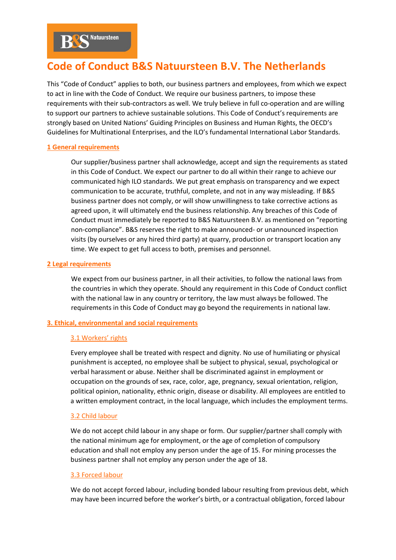# **Code of Conduct B&S Natuursteen B.V. The Netherlands**

This "Code of Conduct" applies to both, our business partners and employees, from which we expect to act in line with the Code of Conduct. We require our business partners, to impose these requirements with their sub-contractors as well. We truly believe in full co-operation and are willing to support our partners to achieve sustainable solutions. This Code of Conduct's requirements are strongly based on United Nations' Guiding Principles on Business and Human Rights, the OECD's Guidelines for Multinational Enterprises, and the ILO's fundamental International Labor Standards.

# **1 General requirements**

Our supplier/business partner shall acknowledge, accept and sign the requirements as stated in this Code of Conduct. We expect our partner to do all within their range to achieve our communicated high ILO standards. We put great emphasis on transparency and we expect communication to be accurate, truthful, complete, and not in any way misleading. If B&S business partner does not comply, or will show unwillingness to take corrective actions as agreed upon, it will ultimately end the business relationship. Any breaches of this Code of Conduct must immediately be reported to B&S Natuursteen B.V. as mentioned on "reporting non-compliance". B&S reserves the right to make announced- or unannounced inspection visits (by ourselves or any hired third party) at quarry, production or transport location any time. We expect to get full access to both, premises and personnel.

# **2 Legal requirements**

We expect from our business partner, in all their activities, to follow the national laws from the countries in which they operate. Should any requirement in this Code of Conduct conflict with the national law in any country or territory, the law must always be followed. The requirements in this Code of Conduct may go beyond the requirements in national law.

# **3. Ethical, environmental and social requirements**

# 3.1 Workers' rights

Every employee shall be treated with respect and dignity. No use of humiliating or physical punishment is accepted, no employee shall be subject to physical, sexual, psychological or verbal harassment or abuse. Neither shall be discriminated against in employment or occupation on the grounds of sex, race, color, age, pregnancy, sexual orientation, religion, political opinion, nationality, ethnic origin, disease or disability. All employees are entitled to a written employment contract, in the local language, which includes the employment terms.

## 3.2 Child labour

We do not accept child labour in any shape or form. Our supplier/partner shall comply with the national minimum age for employment, or the age of completion of compulsory education and shall not employ any person under the age of 15. For mining processes the business partner shall not employ any person under the age of 18.

## 3.3 Forced labour

We do not accept forced labour, including bonded labour resulting from previous debt, which may have been incurred before the worker's birth, or a contractual obligation, forced labour